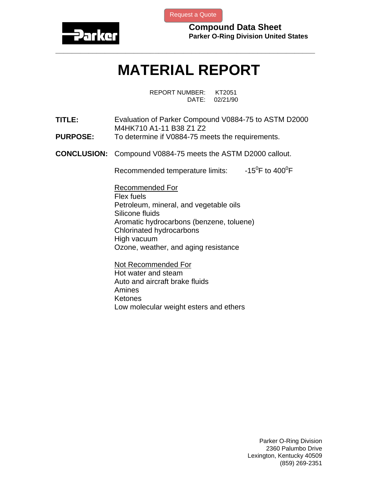

[Request a Quote](http://www.marcorubber.com/contact_quote.htm?material=Parker+V0884-75)

**Compound Data Sheet Parker O-Ring Division United States** 

## **MATERIAL REPORT**

**\_\_\_\_\_\_\_\_\_\_\_\_\_\_\_\_\_\_\_\_\_\_\_\_\_\_\_\_\_\_\_\_\_\_\_\_\_\_\_\_\_\_\_\_\_\_\_\_\_\_\_\_\_\_\_\_\_\_\_\_\_\_\_** 

REPORT NUMBER: KT2051 DATE: 02/21/90

- **TITLE:** Evaluation of Parker Compound V0884-75 to ASTM D2000 M4HK710 A1-11 B38 Z1 Z2
- **PURPOSE:** To determine if V0884-75 meets the requirements.
- **CONCLUSION:** Compound V0884-75 meets the ASTM D2000 callout.

Recommended temperature limits: F to  $400^0$ F

Recommended For Flex fuels Petroleum, mineral, and vegetable oils Silicone fluids Aromatic hydrocarbons (benzene, toluene) Chlorinated hydrocarbons High vacuum Ozone, weather, and aging resistance

Not Recommended For Hot water and steam Auto and aircraft brake fluids Amines Ketones Low molecular weight esters and ethers

> Parker O-Ring Division 2360 Palumbo Drive Lexington, Kentucky 40509 (859) 269-2351